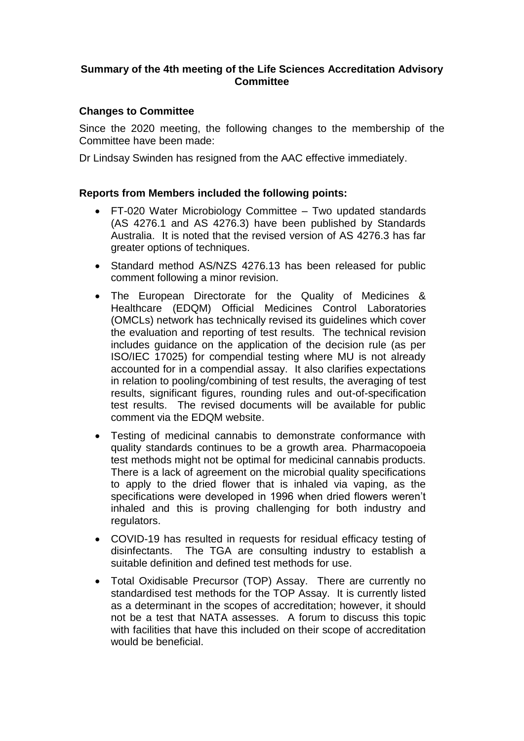## **Summary of the 4th meeting of the Life Sciences Accreditation Advisory Committee**

## **Changes to Committee**

Since the 2020 meeting, the following changes to the membership of the Committee have been made:

Dr Lindsay Swinden has resigned from the AAC effective immediately.

## **Reports from Members included the following points:**

- FT-020 Water Microbiology Committee Two updated standards (AS 4276.1 and AS 4276.3) have been published by Standards Australia. It is noted that the revised version of AS 4276.3 has far greater options of techniques.
- Standard method AS/NZS 4276.13 has been released for public comment following a minor revision.
- The European Directorate for the Quality of Medicines & Healthcare (EDQM) Official Medicines Control Laboratories (OMCLs) network has technically revised its guidelines which cover the evaluation and reporting of test results. The technical revision includes guidance on the application of the decision rule (as per ISO/IEC 17025) for compendial testing where MU is not already accounted for in a compendial assay. It also clarifies expectations in relation to pooling/combining of test results, the averaging of test results, significant figures, rounding rules and out-of-specification test results. The revised documents will be available for public comment via the EDQM website.
- Testing of medicinal cannabis to demonstrate conformance with quality standards continues to be a growth area. Pharmacopoeia test methods might not be optimal for medicinal cannabis products. There is a lack of agreement on the microbial quality specifications to apply to the dried flower that is inhaled via vaping, as the specifications were developed in 1996 when dried flowers weren't inhaled and this is proving challenging for both industry and regulators.
- COVID-19 has resulted in requests for residual efficacy testing of disinfectants. The TGA are consulting industry to establish a suitable definition and defined test methods for use.
- Total Oxidisable Precursor (TOP) Assay. There are currently no standardised test methods for the TOP Assay. It is currently listed as a determinant in the scopes of accreditation; however, it should not be a test that NATA assesses. A forum to discuss this topic with facilities that have this included on their scope of accreditation would be beneficial.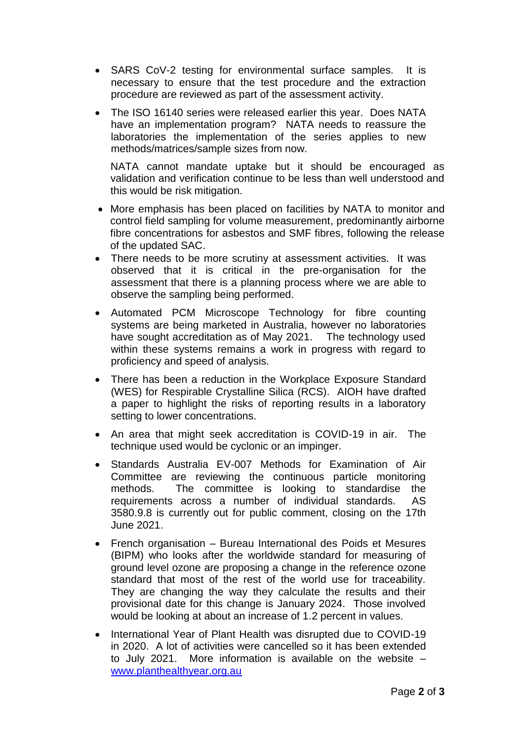- SARS CoV-2 testing for environmental surface samples. It is necessary to ensure that the test procedure and the extraction procedure are reviewed as part of the assessment activity.
- The ISO 16140 series were released earlier this year. Does NATA have an implementation program? NATA needs to reassure the laboratories the implementation of the series applies to new methods/matrices/sample sizes from now.

NATA cannot mandate uptake but it should be encouraged as validation and verification continue to be less than well understood and this would be risk mitigation.

- More emphasis has been placed on facilities by NATA to monitor and control field sampling for volume measurement, predominantly airborne fibre concentrations for asbestos and SMF fibres, following the release of the updated SAC.
- There needs to be more scrutiny at assessment activities. It was observed that it is critical in the pre-organisation for the assessment that there is a planning process where we are able to observe the sampling being performed.
- Automated PCM Microscope Technology for fibre counting systems are being marketed in Australia, however no laboratories have sought accreditation as of May 2021. The technology used within these systems remains a work in progress with regard to proficiency and speed of analysis.
- There has been a reduction in the Workplace Exposure Standard (WES) for Respirable Crystalline Silica (RCS). AIOH have drafted a paper to highlight the risks of reporting results in a laboratory setting to lower concentrations.
- An area that might seek accreditation is COVID-19 in air. The technique used would be cyclonic or an impinger.
- Standards Australia EV-007 Methods for Examination of Air Committee are reviewing the continuous particle monitoring methods. The committee is looking to standardise the requirements across a number of individual standards. AS 3580.9.8 is currently out for public comment, closing on the 17th June 2021.
- French organisation Bureau International des Poids et Mesures (BIPM) who looks after the worldwide standard for measuring of ground level ozone are proposing a change in the reference ozone standard that most of the rest of the world use for traceability. They are changing the way they calculate the results and their provisional date for this change is January 2024. Those involved would be looking at about an increase of 1.2 percent in values.
- International Year of Plant Health was disrupted due to COVID-19 in 2020. A lot of activities were cancelled so it has been extended to July 2021. More information is available on the website – [www.planthealthyear.org.au](http://www.planthealthyear.org.au/)